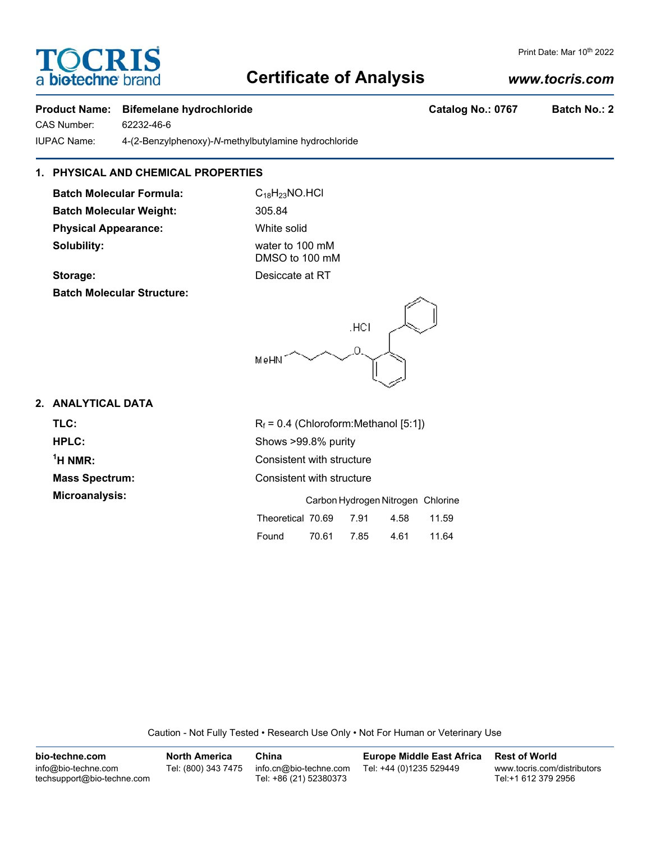## **Certificate of Analysis**

### **Product Name:** Bifemelane hydrochloride **Catalog No.: 0767** Batch No.: 2

CAS Number: 62232-46-6

**TOCRIS** 

a biotechne

IUPAC Name: 4-(2-Benzylphenoxy)-*N*-methylbutylamine hydrochloride

### **1. PHYSICAL AND CHEMICAL PROPERTIES**

**Batch Molecular Formula:** C<sub>18</sub>H<sub>23</sub>NO.HCl Batch Molecular Weight: 305.84 **Physical Appearance:** White solid **Solubility:** water to 100 mM

DMSO to 100 mM **Storage:** Desiccate at RT

MeHN<sup>1</sup>

**Batch Molecular Structure:**

# **2. ANALYTICAL DATA**

| TLC:                  | $R_f$ = 0.4 (Chloroform: Methanol [5:1]) |  |  |  |
|-----------------------|------------------------------------------|--|--|--|
| HPLC:                 | Shows >99.8% purity                      |  |  |  |
| $1H NMR$ :            | Consistent with structure                |  |  |  |
| <b>Mass Spectrum:</b> | Consistent with structure                |  |  |  |
| Microanalysis:        | Carbon Hydrogen Nitrogen, Chloria        |  |  |  |

.HCI

|                   | Carbon Hydrogen Nitrogen Chlorine |      |      |       |
|-------------------|-----------------------------------|------|------|-------|
| Theoretical 70.69 |                                   | 7.91 | 4.58 | 11.59 |
| Found             | 70.61                             | 7.85 | 4.61 | 11.64 |

Caution - Not Fully Tested • Research Use Only • Not For Human or Veterinary Use

| bio-techne.com                                    | <b>North America</b> | China                                            | <b>Europe Middle East Africa</b> | <b>Rest of World</b>                               |
|---------------------------------------------------|----------------------|--------------------------------------------------|----------------------------------|----------------------------------------------------|
| info@bio-techne.com<br>techsupport@bio-techne.com | Tel: (800) 343 7475  | info.cn@bio-techne.com<br>Tel: +86 (21) 52380373 | Tel: +44 (0)1235 529449          | www.tocris.com/distributors<br>Tel:+1 612 379 2956 |

#### *www.tocris.com*